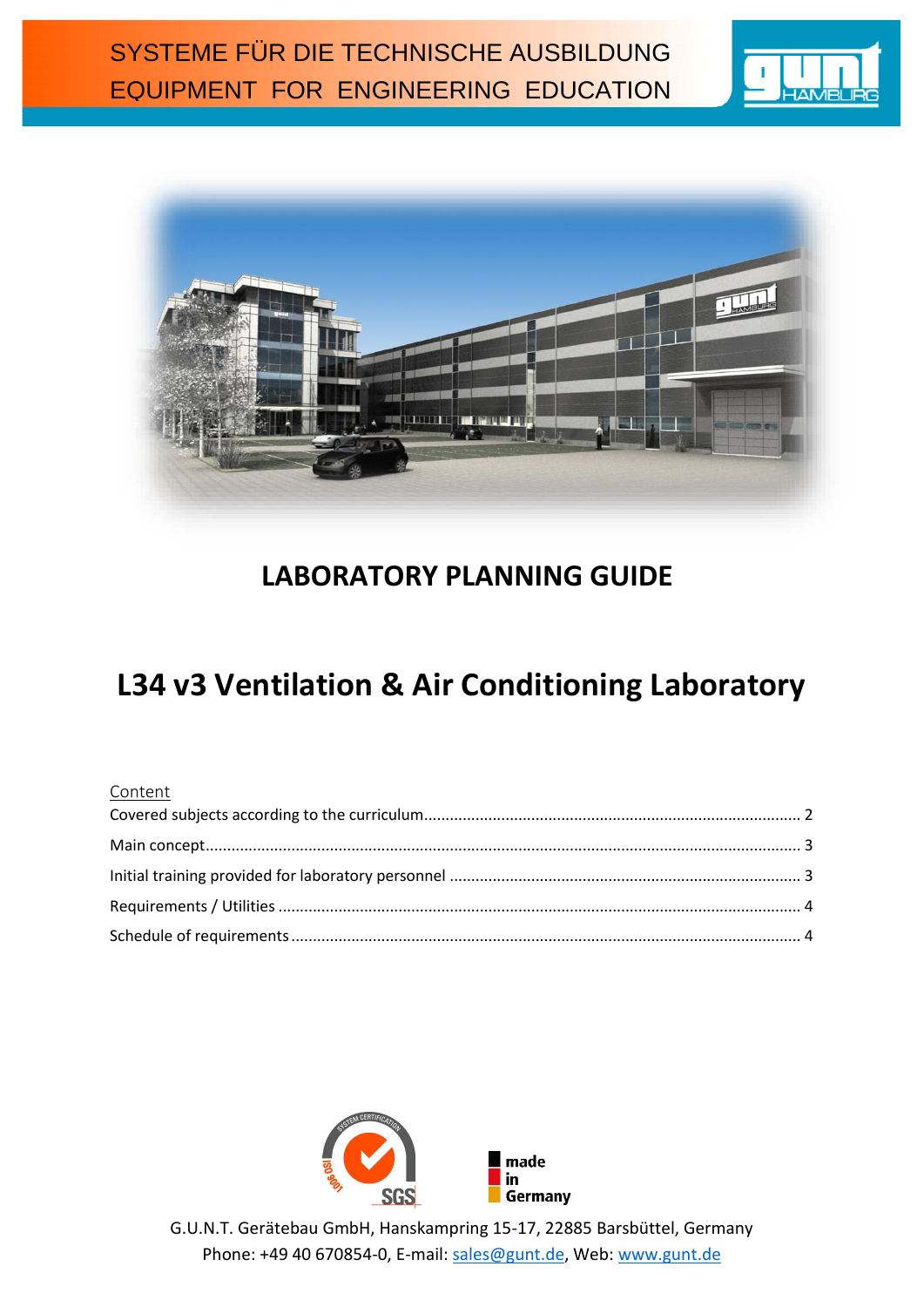



# **LABORATORY PLANNING GUIDE**

# **L34 v3 Ventilation & Air Conditioning Laboratory**

# Content



G.U.N.T. Gerätebau GmbH, Hanskampring 15-17, 22885 Barsbüttel, Germany Phone: +49 40 670854-0, E-mail: [sales@gunt.de,](mailto:sales@gunt.de) Web: [www.gunt.de](http://www.gunt.de/)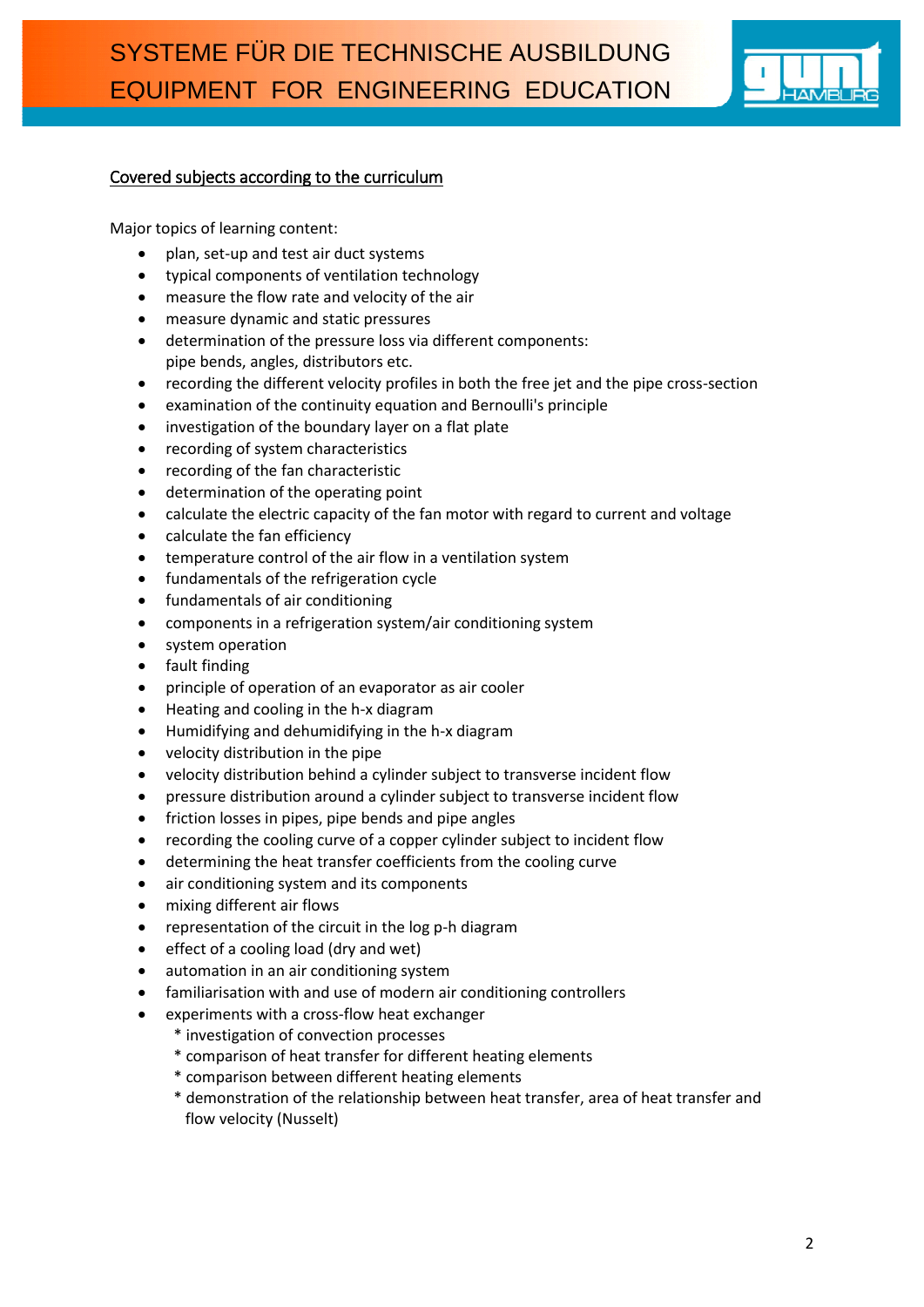

## <span id="page-1-0"></span>Covered subjects according to the curriculum

Major topics of learning content:

- plan, set-up and test air duct systems
- typical components of ventilation technology
- measure the flow rate and velocity of the air
- measure dynamic and static pressures
- determination of the pressure loss via different components: pipe bends, angles, distributors etc.
- recording the different velocity profiles in both the free jet and the pipe cross-section
- examination of the continuity equation and Bernoulli's principle
- investigation of the boundary layer on a flat plate
- recording of system characteristics
- recording of the fan characteristic
- determination of the operating point
- calculate the electric capacity of the fan motor with regard to current and voltage
- calculate the fan efficiency
- temperature control of the air flow in a ventilation system
- fundamentals of the refrigeration cycle
- fundamentals of air conditioning
- components in a refrigeration system/air conditioning system
- system operation
- fault finding
- principle of operation of an evaporator as air cooler
- Heating and cooling in the h-x diagram
- Humidifying and dehumidifying in the h-x diagram
- velocity distribution in the pipe
- velocity distribution behind a cylinder subject to transverse incident flow
- pressure distribution around a cylinder subject to transverse incident flow
- friction losses in pipes, pipe bends and pipe angles
- recording the cooling curve of a copper cylinder subject to incident flow
- determining the heat transfer coefficients from the cooling curve
- air conditioning system and its components
- mixing different air flows
- representation of the circuit in the log p-h diagram
- effect of a cooling load (dry and wet)
- automation in an air conditioning system
- familiarisation with and use of modern air conditioning controllers
- experiments with a cross-flow heat exchanger
	- \* investigation of convection processes
	- \* comparison of heat transfer for different heating elements
	- \* comparison between different heating elements
	- \* demonstration of the relationship between heat transfer, area of heat transfer and flow velocity (Nusselt)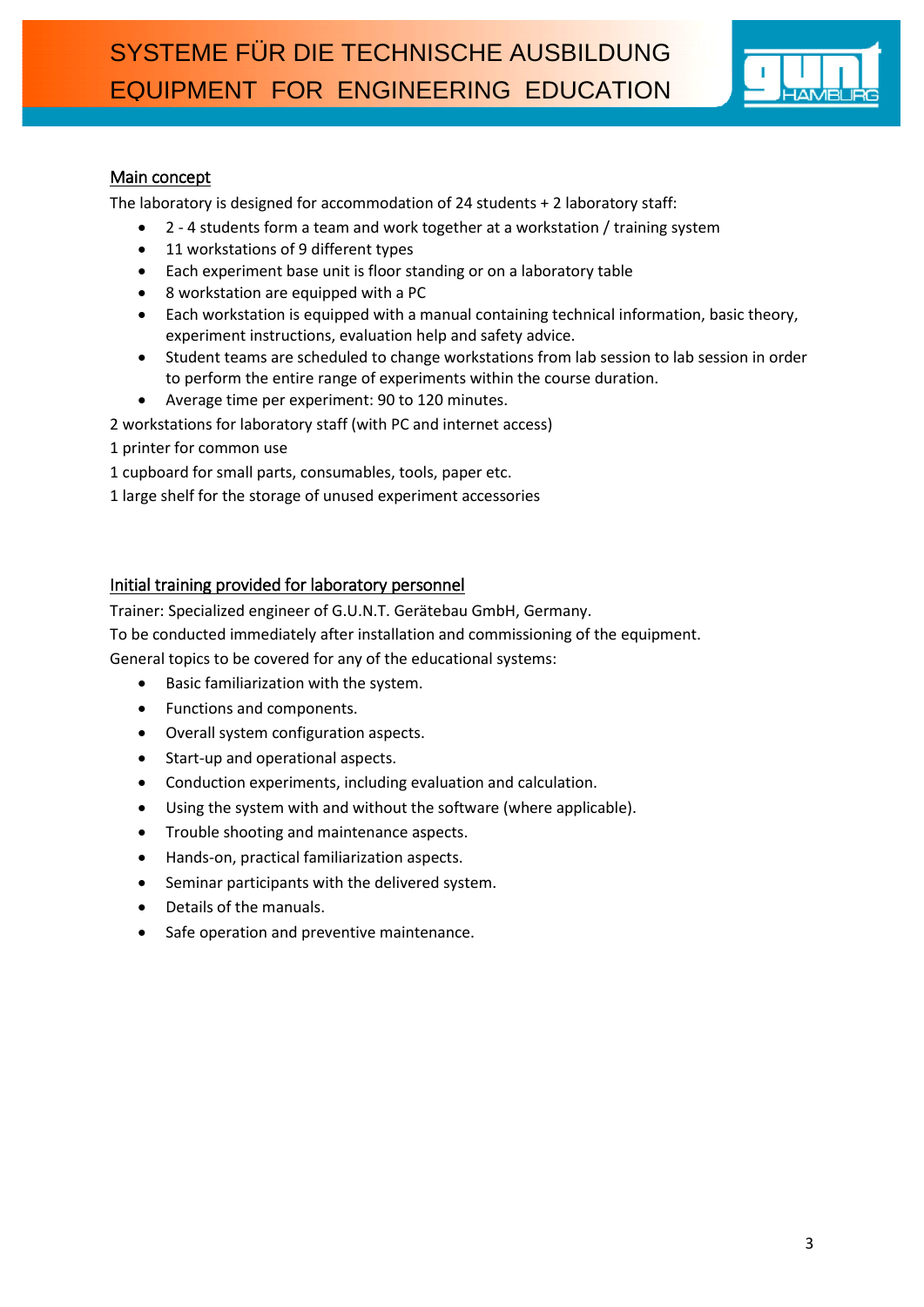

# <span id="page-2-0"></span>Main concept

The laboratory is designed for accommodation of 24 students + 2 laboratory staff:

- 2 4 students form a team and work together at a workstation / training system
- 11 workstations of 9 different types
- Each experiment base unit is floor standing or on a laboratory table
- 8 workstation are equipped with a PC
- Each workstation is equipped with a manual containing technical information, basic theory, experiment instructions, evaluation help and safety advice.
- Student teams are scheduled to change workstations from lab session to lab session in order to perform the entire range of experiments within the course duration.
- Average time per experiment: 90 to 120 minutes.

2 workstations for laboratory staff (with PC and internet access)

- 1 printer for common use
- 1 cupboard for small parts, consumables, tools, paper etc.
- 1 large shelf for the storage of unused experiment accessories

#### <span id="page-2-1"></span>Initial training provided for laboratory personnel

Trainer: Specialized engineer of G.U.N.T. Gerätebau GmbH, Germany.

To be conducted immediately after installation and commissioning of the equipment.

General topics to be covered for any of the educational systems:

- Basic familiarization with the system.
- Functions and components.
- Overall system configuration aspects.
- Start-up and operational aspects.
- Conduction experiments, including evaluation and calculation.
- Using the system with and without the software (where applicable).
- Trouble shooting and maintenance aspects.
- Hands-on, practical familiarization aspects.
- Seminar participants with the delivered system.
- Details of the manuals.
- Safe operation and preventive maintenance.